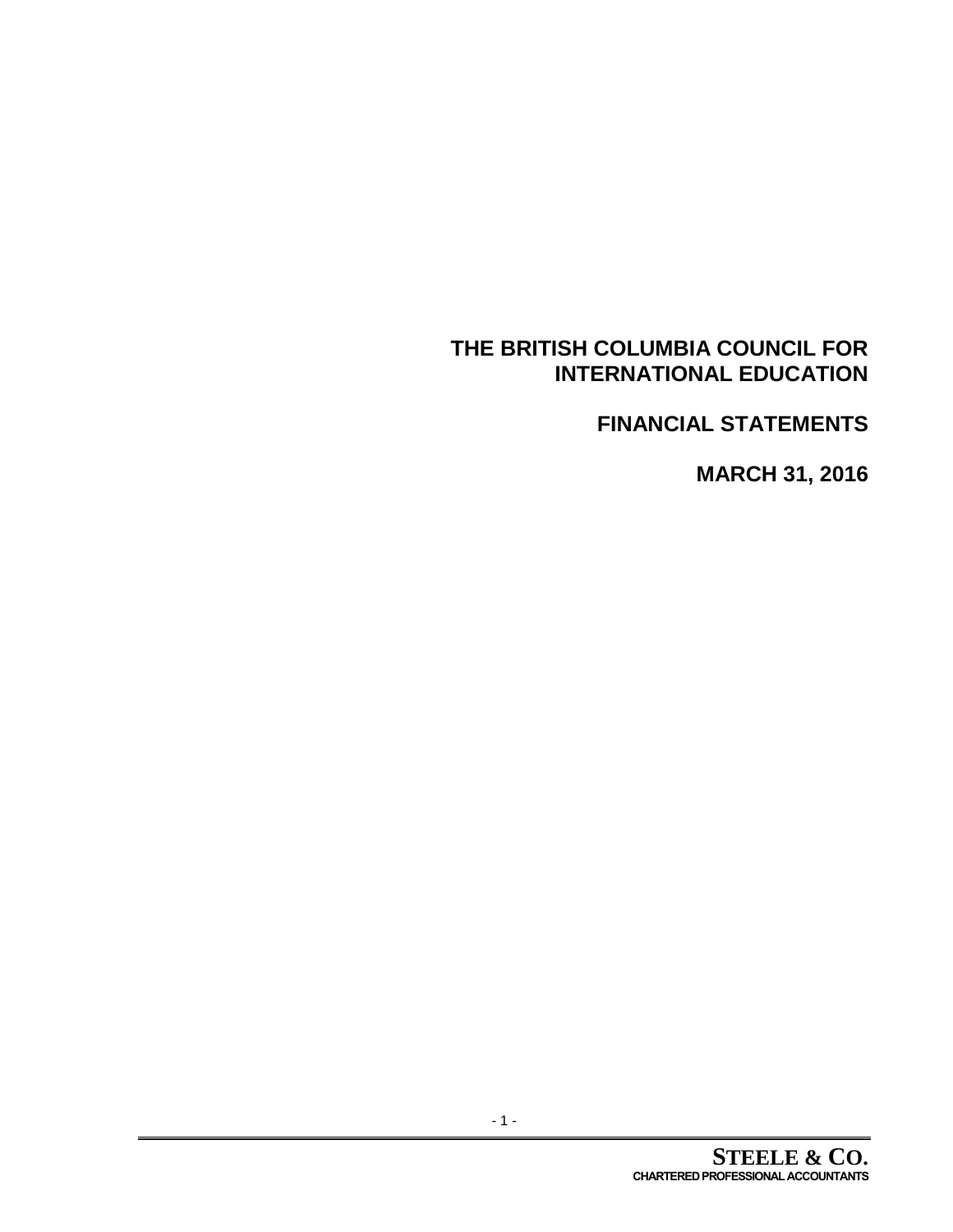# **FINANCIAL STATEMENTS**

**MARCH 31, 2016**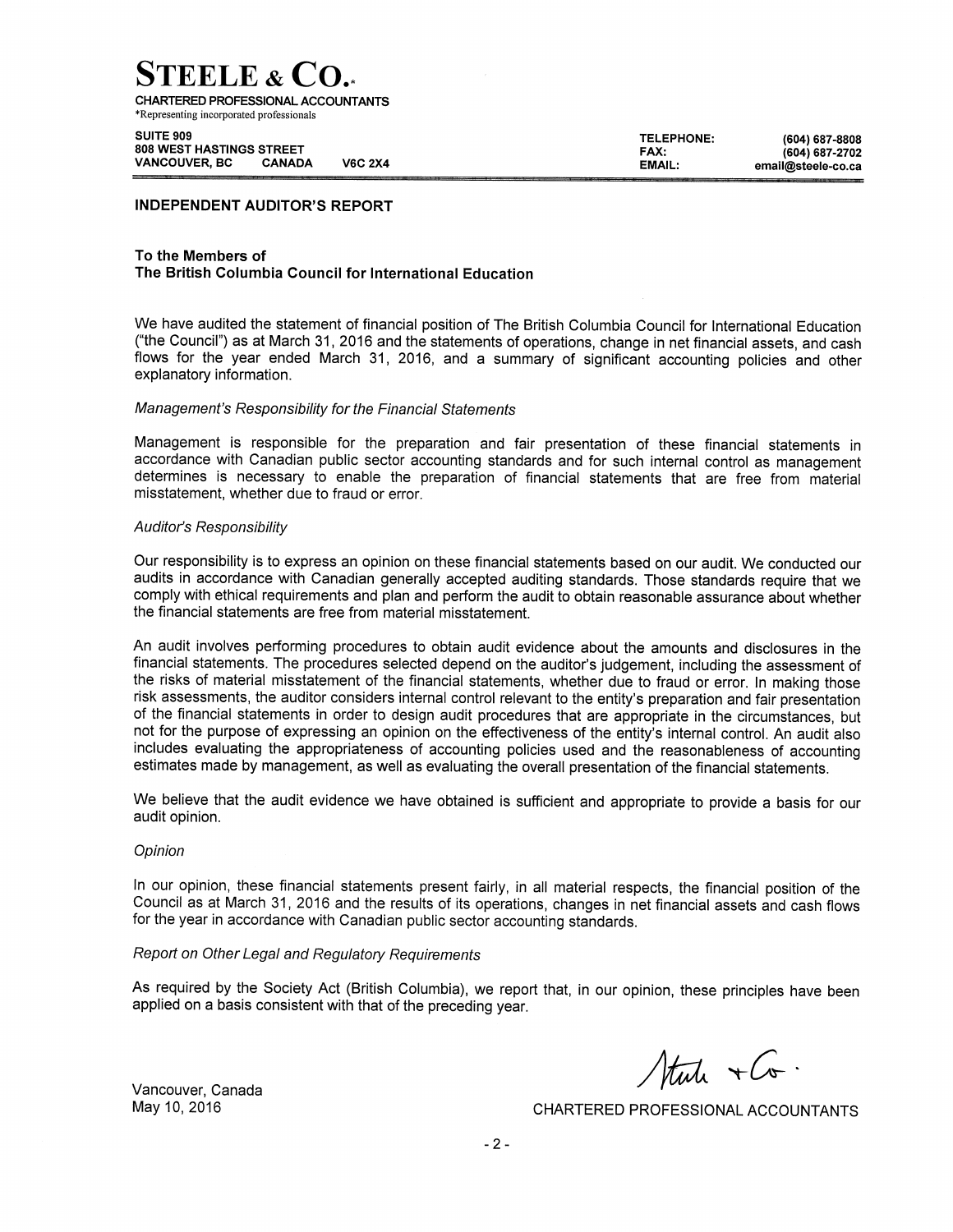**TEELE & CO.** CHARTERED PROFESSIONAL ACCOUNTANTS

\*Representing incorporated professionals

SUITE 909 808 WEST HASTINGS STREET **VANCOUVER, BC V6C 2X4 CANADA** 

TELEPHONE: (604) 687-8808 FAX: (604) 687-2702 email@steele-co.ca EMAIL:

#### **INDEPENDENT AUDITOR'S REPORT**

#### To the Members of The British Columbia Council for International Education

We have audited the statement of financial position of The British Columbia Council for International Education ("the Council") as at March 31, 2016 and the statements of operations, change in net financial assets, and cash flows for the year ended March 31, 2016, and a summary of significant accounting policies and other explanatory information.

#### Management's Responsibility for the Financial Statements

Management is responsible for the preparation and fair presentation of these financial statements in accordance with Canadian public sector accounting standards and for such internal control as management determines is necessary to enable the preparation of financial statements that are free from material misstatement, whether due to fraud or error.

#### Auditor's Responsibility

Our responsibility is to express an opinion on these financial statements based on our audit. We conducted our audits in accordance with Canadian generally accepted auditing standards. Those standards require that we comply with ethical requirements and plan and perform the audit to obtain reasonable assurance about whether the financial statements are free from material misstatement.

An audit involves performing procedures to obtain audit evidence about the amounts and disclosures in the financial statements. The procedures selected depend on the auditor's judgement, including the assessment of the risks of material misstatement of the financial statements, whether due to fraud or error. In making those risk assessments, the auditor considers internal control relevant to the entity's preparation and fair presentation of the financial statements in order to design audit procedures that are appropriate in the circumstances, but not for the purpose of expressing an opinion on the effectiveness of the entity's internal control. An audit also includes evaluating the appropriateness of accounting policies used and the reasonableness of accounting estimates made by management, as well as evaluating the overall presentation of the financial statements.

We believe that the audit evidence we have obtained is sufficient and appropriate to provide a basis for our audit opinion.

#### Opinion

In our opinion, these financial statements present fairly, in all material respects, the financial position of the Council as at March 31, 2016 and the results of its operations, changes in net financial assets and cash flows for the year in accordance with Canadian public sector accounting standards.

#### Report on Other Legal and Regulatory Requirements

As required by the Society Act (British Columbia), we report that, in our opinion, these principles have been applied on a basis consistent with that of the preceding year.

Stute + Co.

Vancouver, Canada May 10, 2016

CHARTERED PROFESSIONAL ACCOUNTANTS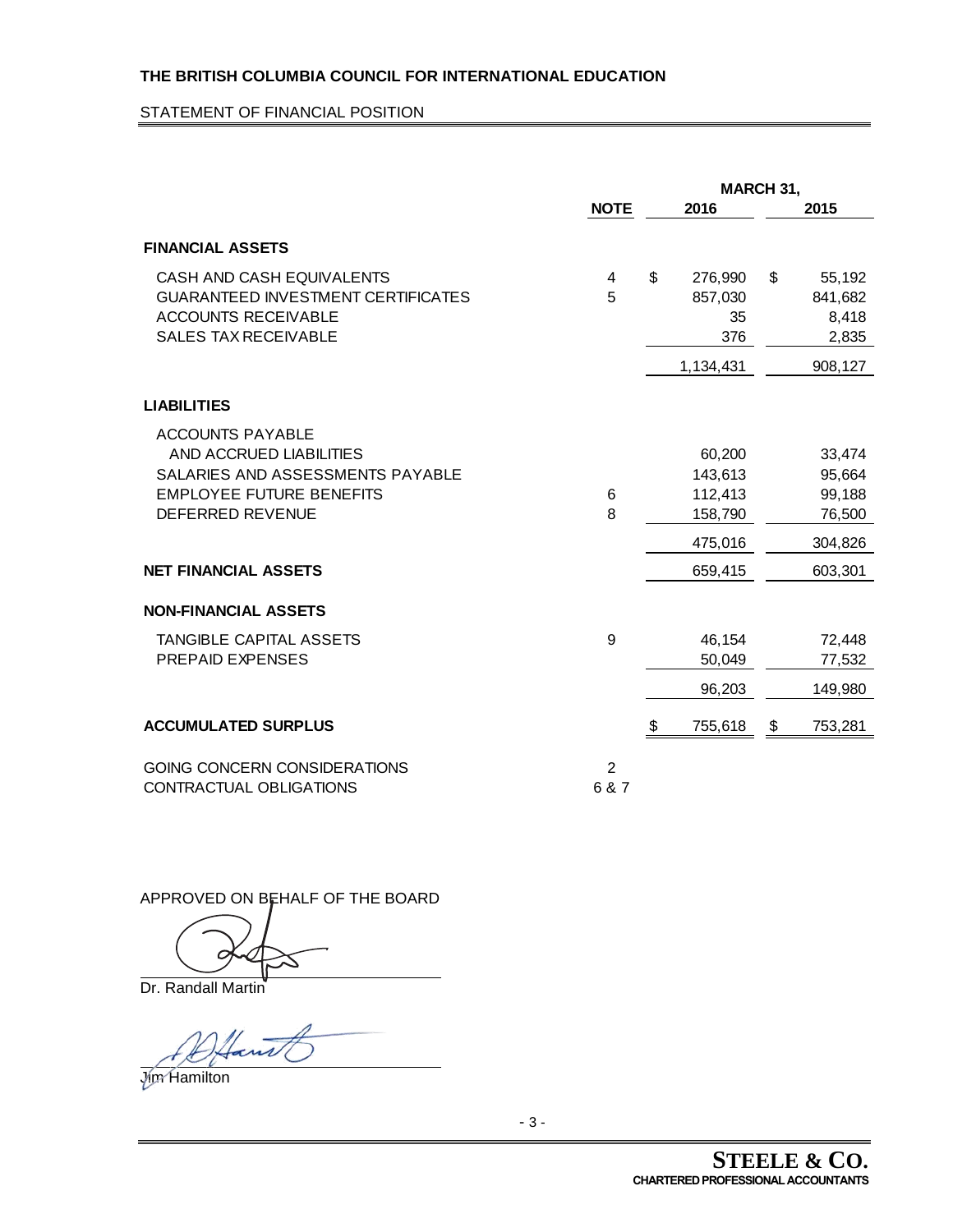## STATEMENT OF FINANCIAL POSITION

|                                                                                                                                                                                     |                         | MARCH 31,                                                     |                                                            |
|-------------------------------------------------------------------------------------------------------------------------------------------------------------------------------------|-------------------------|---------------------------------------------------------------|------------------------------------------------------------|
|                                                                                                                                                                                     | <b>NOTE</b>             | 2016                                                          | 2015                                                       |
| <b>FINANCIAL ASSETS</b>                                                                                                                                                             |                         |                                                               |                                                            |
| CASH AND CASH EQUIVALENTS<br><b>GUARANTEED INVESTMENT CERTIFICATES</b><br><b>ACCOUNTS RECEIVABLE</b><br><b>SALES TAX RECEIVABLE</b>                                                 | 4<br>5                  | \$<br>276,990<br>857,030<br>35<br>376<br>1,134,431            | \$<br>55,192<br>841,682<br>8,418<br>2,835<br>908,127       |
| <b>LIABILITIES</b>                                                                                                                                                                  |                         |                                                               |                                                            |
| <b>ACCOUNTS PAYABLE</b><br>AND ACCRUED LIABILITIES<br>SALARIES AND ASSESSMENTS PAYABLE<br><b>EMPLOYEE FUTURE BENEFITS</b><br><b>DEFERRED REVENUE</b><br><b>NET FINANCIAL ASSETS</b> | 6<br>8                  | 60,200<br>143,613<br>112,413<br>158,790<br>475,016<br>659,415 | 33,474<br>95,664<br>99,188<br>76,500<br>304,826<br>603,301 |
| <b>NON-FINANCIAL ASSETS</b>                                                                                                                                                         |                         |                                                               |                                                            |
| <b>TANGIBLE CAPITAL ASSETS</b><br><b>PREPAID EXPENSES</b>                                                                                                                           | 9                       | 46,154<br>50,049                                              | 72,448<br>77,532                                           |
|                                                                                                                                                                                     |                         | 96,203                                                        | 149,980                                                    |
| <b>ACCUMULATED SURPLUS</b>                                                                                                                                                          |                         | \$<br>755,618                                                 | \$<br>753,281                                              |
| GOING CONCERN CONSIDERATIONS<br>CONTRACTUAL OBLIGATIONS                                                                                                                             | $\overline{2}$<br>6 & 7 |                                                               |                                                            |

APPROVED ON BEHALF OF THE BOARD

ノ

Dr. Randall Martin

fans

Jim Hamilton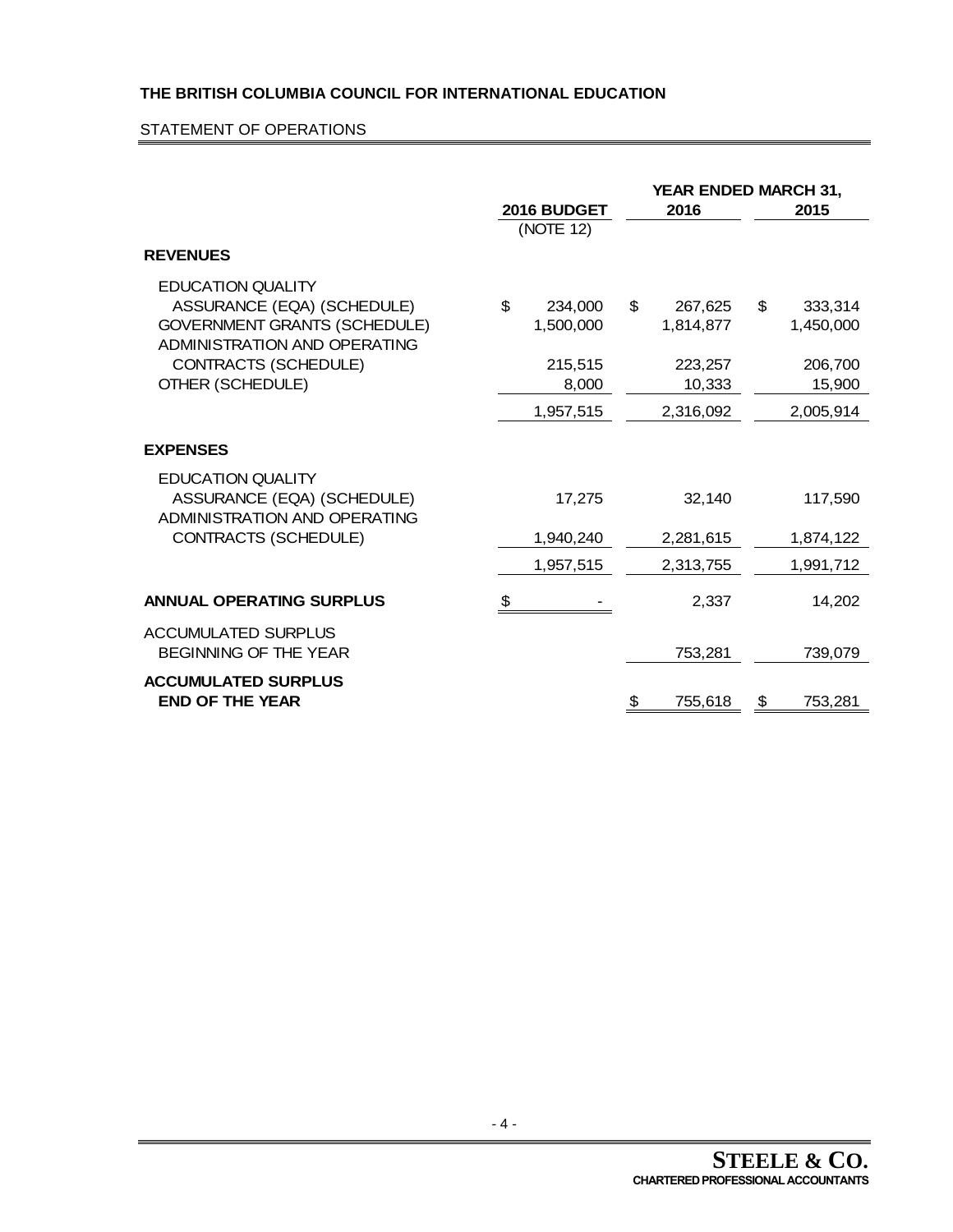# STATEMENT OF OPERATIONS

|                                                                                                                               | 2016 BUDGET<br>(NOTE 12)   |                | YEAR ENDED MARCH 31,<br>2016 | 2015                       |
|-------------------------------------------------------------------------------------------------------------------------------|----------------------------|----------------|------------------------------|----------------------------|
| <b>REVENUES</b>                                                                                                               |                            |                |                              |                            |
| <b>EDUCATION QUALITY</b><br>ASSURANCE (EQA) (SCHEDULE)<br><b>GOVERNMENT GRANTS (SCHEDULE)</b><br>ADMINISTRATION AND OPERATING | \$<br>234,000<br>1,500,000 | $\mathfrak{S}$ | 267,625<br>1,814,877         | \$<br>333,314<br>1,450,000 |
| CONTRACTS (SCHEDULE)                                                                                                          | 215,515                    |                | 223,257                      | 206,700                    |
| OTHER (SCHEDULE)                                                                                                              | 8,000                      |                | 10,333                       | 15,900                     |
|                                                                                                                               | 1,957,515                  |                | 2,316,092                    | 2,005,914                  |
| <b>EXPENSES</b>                                                                                                               |                            |                |                              |                            |
| <b>EDUCATION QUALITY</b><br>ASSURANCE (EQA) (SCHEDULE)<br>ADMINISTRATION AND OPERATING                                        | 17,275                     |                | 32,140                       | 117,590                    |
| CONTRACTS (SCHEDULE)                                                                                                          | 1,940,240                  |                | 2,281,615                    | 1,874,122                  |
|                                                                                                                               | 1,957,515                  |                | 2,313,755                    | 1,991,712                  |
| <b>ANNUAL OPERATING SURPLUS</b>                                                                                               | \$                         |                | 2,337                        | 14,202                     |
| <b>ACCUMULATED SURPLUS</b><br><b>BEGINNING OF THE YEAR</b>                                                                    |                            |                | 753,281                      | 739,079                    |
| <b>ACCUMULATED SURPLUS</b><br><b>END OF THE YEAR</b>                                                                          |                            | \$             | 755,618                      | \$<br>753,281              |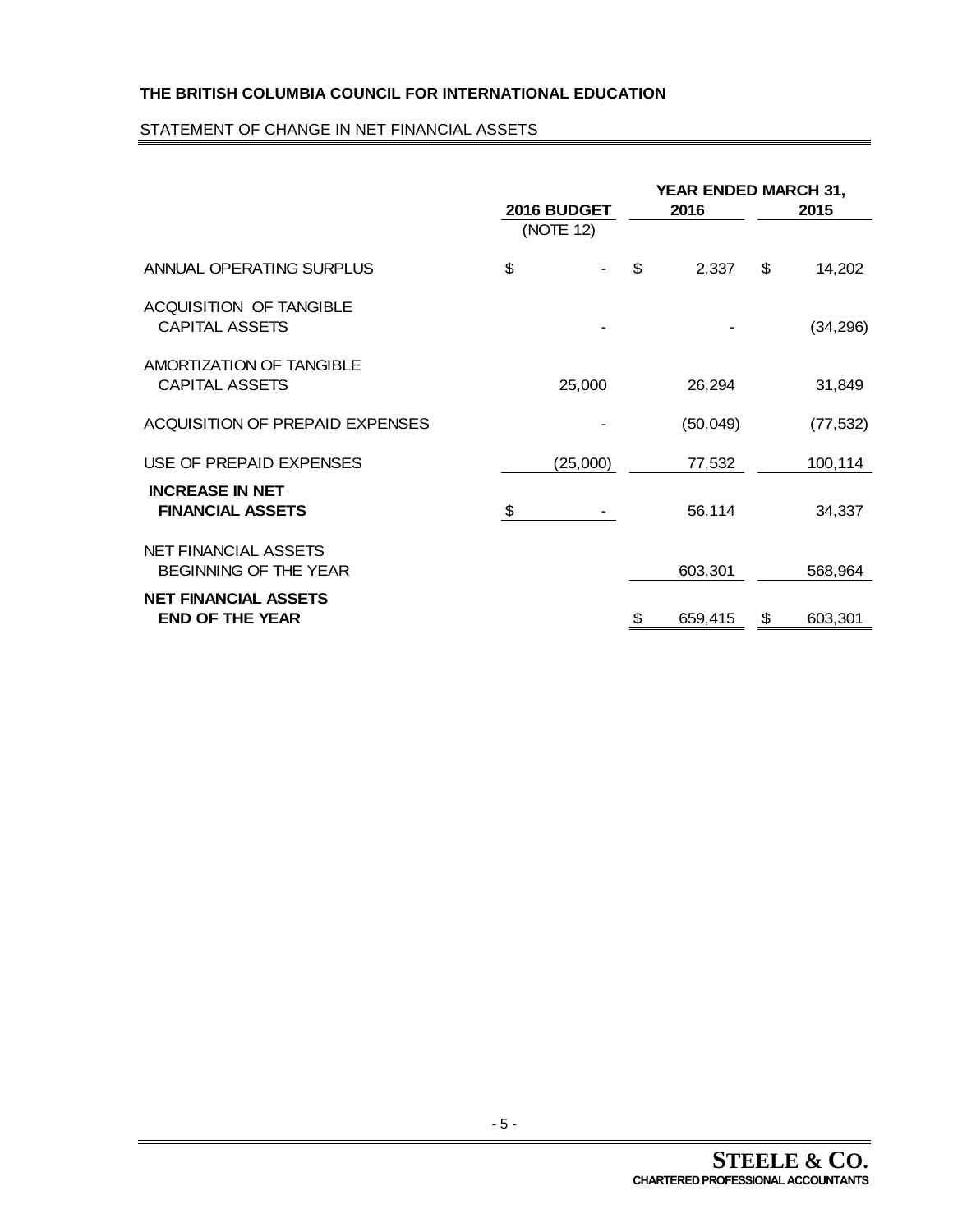# STATEMENT OF CHANGE IN NET FINANCIAL ASSETS

|                                                             | 2016 BUDGET |          | YEAR ENDED MARCH 31,<br>2016 | 2015      |               |
|-------------------------------------------------------------|-------------|----------|------------------------------|-----------|---------------|
|                                                             | (NOTE 12)   |          |                              |           |               |
| ANNUAL OPERATING SURPLUS                                    | \$          |          | \$                           | 2,337     | \$<br>14,202  |
| <b>ACQUISITION OF TANGIBLE</b><br><b>CAPITAL ASSETS</b>     |             |          |                              |           | (34, 296)     |
| <b>AMORTIZATION OF TANGIBLE</b><br><b>CAPITAL ASSETS</b>    |             | 25,000   |                              | 26,294    | 31,849        |
| <b>ACQUISITION OF PREPAID EXPENSES</b>                      |             |          |                              | (50, 049) | (77, 532)     |
| USE OF PREPAID EXPENSES                                     |             | (25,000) |                              | 77,532    | 100,114       |
| <b>INCREASE IN NET</b><br><b>FINANCIAL ASSETS</b>           | \$          |          |                              | 56,114    | 34,337        |
| <b>NET FINANCIAL ASSETS</b><br><b>BEGINNING OF THE YEAR</b> |             |          |                              | 603,301   | 568,964       |
| <b>NET FINANCIAL ASSETS</b><br><b>END OF THE YEAR</b>       |             |          | \$                           | 659,415   | \$<br>603,301 |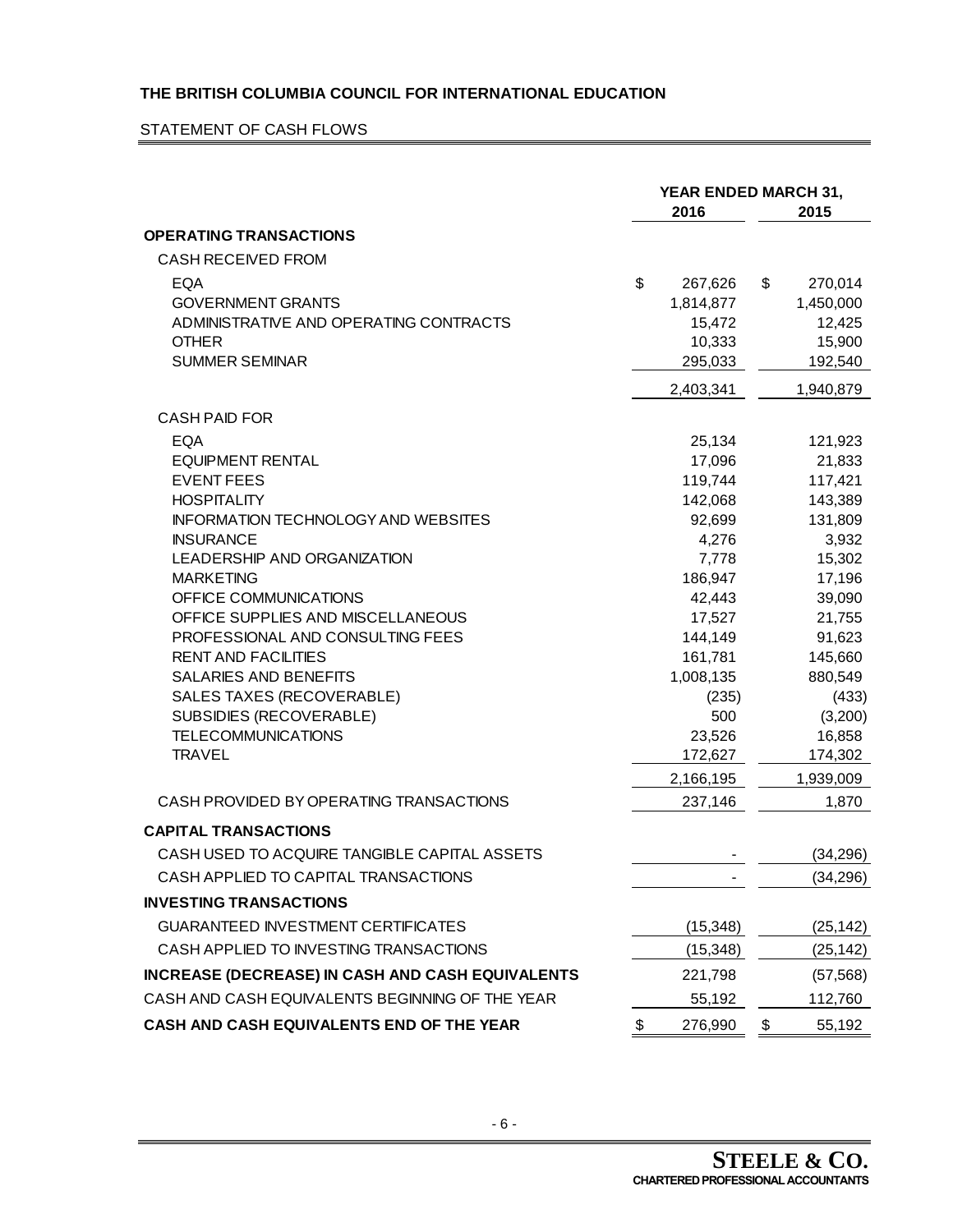# STATEMENT OF CASH FLOWS

|                                                      | 2016          | YEAR ENDED MARCH 31,<br>2015 |                  |  |
|------------------------------------------------------|---------------|------------------------------|------------------|--|
| <b>OPERATING TRANSACTIONS</b>                        |               |                              |                  |  |
| <b>CASH RECEIVED FROM</b>                            |               |                              |                  |  |
| <b>EQA</b>                                           | \$<br>267,626 | \$                           | 270,014          |  |
| <b>GOVERNMENT GRANTS</b>                             | 1,814,877     |                              | 1,450,000        |  |
| ADMINISTRATIVE AND OPERATING CONTRACTS               | 15,472        |                              | 12,425           |  |
| <b>OTHER</b>                                         | 10,333        |                              | 15,900           |  |
| <b>SUMMER SEMINAR</b>                                | 295,033       |                              | 192,540          |  |
|                                                      | 2,403,341     |                              | 1,940,879        |  |
| <b>CASH PAID FOR</b>                                 |               |                              |                  |  |
| <b>EQA</b>                                           | 25,134        |                              | 121,923          |  |
| <b>EQUIPMENT RENTAL</b>                              | 17,096        |                              | 21,833           |  |
| <b>EVENT FEES</b>                                    | 119,744       |                              | 117,421          |  |
| <b>HOSPITALITY</b>                                   | 142,068       |                              | 143,389          |  |
| <b>INFORMATION TECHNOLOGY AND WEBSITES</b>           | 92,699        |                              | 131,809          |  |
| <b>INSURANCE</b>                                     | 4,276         |                              | 3,932            |  |
| <b>LEADERSHIP AND ORGANIZATION</b>                   | 7,778         |                              | 15,302           |  |
| <b>MARKETING</b>                                     | 186,947       |                              | 17,196           |  |
| OFFICE COMMUNICATIONS                                | 42,443        |                              | 39,090           |  |
| OFFICE SUPPLIES AND MISCELLANEOUS                    | 17,527        |                              | 21,755           |  |
| PROFESSIONAL AND CONSULTING FEES                     | 144,149       |                              | 91,623           |  |
| RENT AND FACILITIES                                  | 161,781       |                              | 145,660          |  |
| <b>SALARIES AND BENEFITS</b>                         | 1,008,135     |                              | 880,549          |  |
| SALES TAXES (RECOVERABLE)<br>SUBSIDIES (RECOVERABLE) | (235)<br>500  |                              | (433)<br>(3,200) |  |
| <b>TELECOMMUNICATIONS</b>                            | 23,526        |                              | 16,858           |  |
| <b>TRAVEL</b>                                        | 172,627       |                              | 174,302          |  |
|                                                      | 2,166,195     |                              | 1,939,009        |  |
| CASH PROVIDED BY OPERATING TRANSACTIONS              | 237,146       |                              | 1,870            |  |
| <b>CAPITAL TRANSACTIONS</b>                          |               |                              |                  |  |
| CASH USED TO ACQUIRE TANGIBLE CAPITAL ASSETS         |               |                              | (34, 296)        |  |
| CASH APPLIED TO CAPITAL TRANSACTIONS                 |               |                              | (34, 296)        |  |
| <b>INVESTING TRANSACTIONS</b>                        |               |                              |                  |  |
| <b>GUARANTEED INVESTMENT CERTIFICATES</b>            | (15, 348)     |                              | (25, 142)        |  |
| CASH APPLIED TO INVESTING TRANSACTIONS               | (15, 348)     |                              | (25, 142)        |  |
| INCREASE (DECREASE) IN CASH AND CASH EQUIVALENTS     | 221,798       |                              | (57, 568)        |  |
| CASH AND CASH EQUIVALENTS BEGINNING OF THE YEAR      | 55,192        |                              | 112,760          |  |
| CASH AND CASH EQUIVALENTS END OF THE YEAR            | \$<br>276,990 | \$                           | 55,192           |  |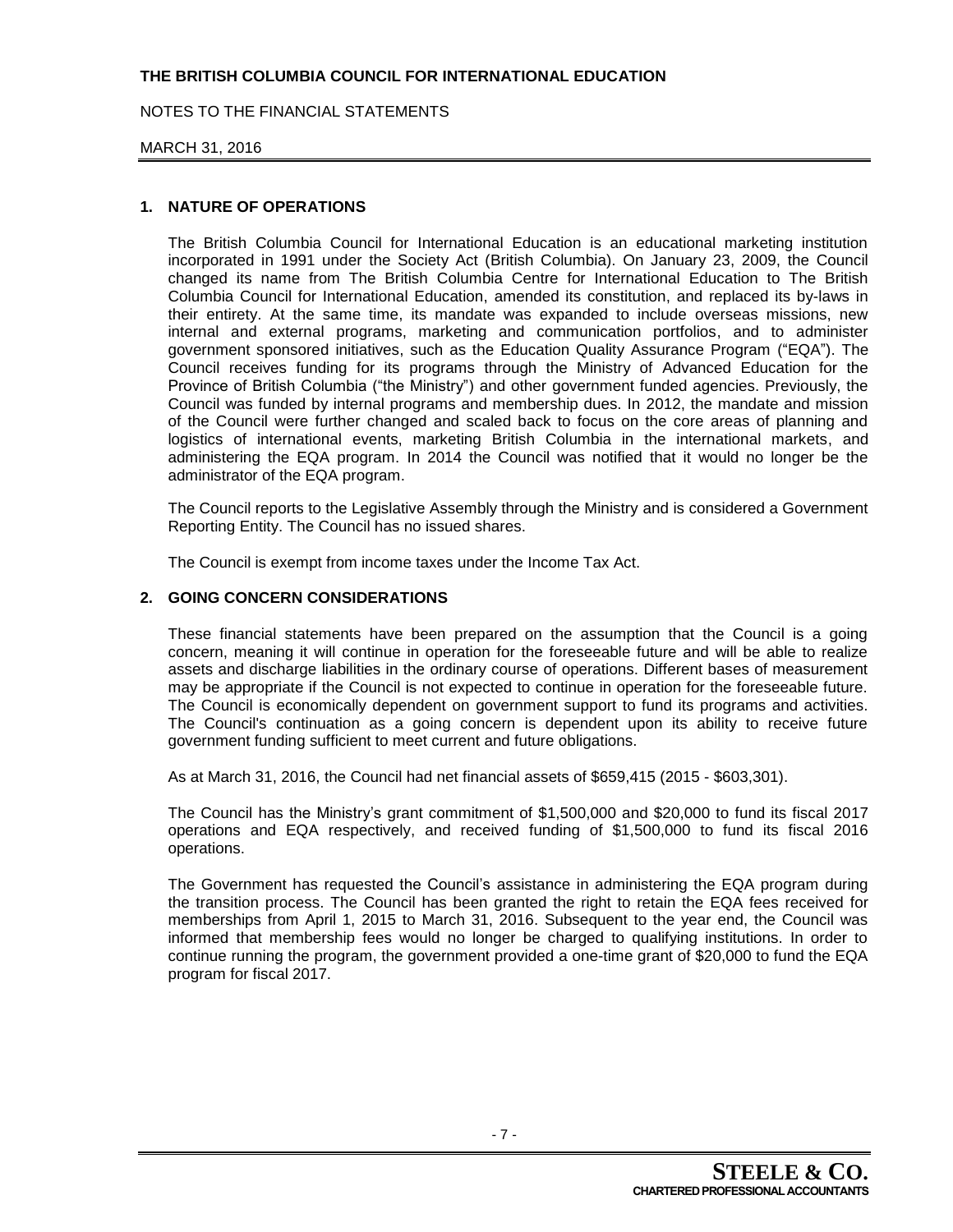NOTES TO THE FINANCIAL STATEMENTS

#### MARCH 31, 2016

## **1. NATURE OF OPERATIONS**

The British Columbia Council for International Education is an educational marketing institution incorporated in 1991 under the Society Act (British Columbia). On January 23, 2009, the Council changed its name from The British Columbia Centre for International Education to The British Columbia Council for International Education, amended its constitution, and replaced its by-laws in their entirety. At the same time, its mandate was expanded to include overseas missions, new internal and external programs, marketing and communication portfolios, and to administer government sponsored initiatives, such as the Education Quality Assurance Program ("EQA"). The Council receives funding for its programs through the Ministry of Advanced Education for the Province of British Columbia ("the Ministry") and other government funded agencies. Previously, the Council was funded by internal programs and membership dues. In 2012, the mandate and mission of the Council were further changed and scaled back to focus on the core areas of planning and logistics of international events, marketing British Columbia in the international markets, and administering the EQA program. In 2014 the Council was notified that it would no longer be the administrator of the EQA program.

The Council reports to the Legislative Assembly through the Ministry and is considered a Government Reporting Entity. The Council has no issued shares.

The Council is exempt from income taxes under the Income Tax Act.

## **2. GOING CONCERN CONSIDERATIONS**

These financial statements have been prepared on the assumption that the Council is a going concern, meaning it will continue in operation for the foreseeable future and will be able to realize assets and discharge liabilities in the ordinary course of operations. Different bases of measurement may be appropriate if the Council is not expected to continue in operation for the foreseeable future. The Council is economically dependent on government support to fund its programs and activities. The Council's continuation as a going concern is dependent upon its ability to receive future government funding sufficient to meet current and future obligations.

As at March 31, 2016, the Council had net financial assets of \$659,415 (2015 - \$603,301).

The Council has the Ministry's grant commitment of \$1,500,000 and \$20,000 to fund its fiscal 2017 operations and EQA respectively, and received funding of \$1,500,000 to fund its fiscal 2016 operations.

The Government has requested the Council's assistance in administering the EQA program during the transition process. The Council has been granted the right to retain the EQA fees received for memberships from April 1, 2015 to March 31, 2016. Subsequent to the year end, the Council was informed that membership fees would no longer be charged to qualifying institutions. In order to continue running the program, the government provided a one-time grant of \$20,000 to fund the EQA program for fiscal 2017.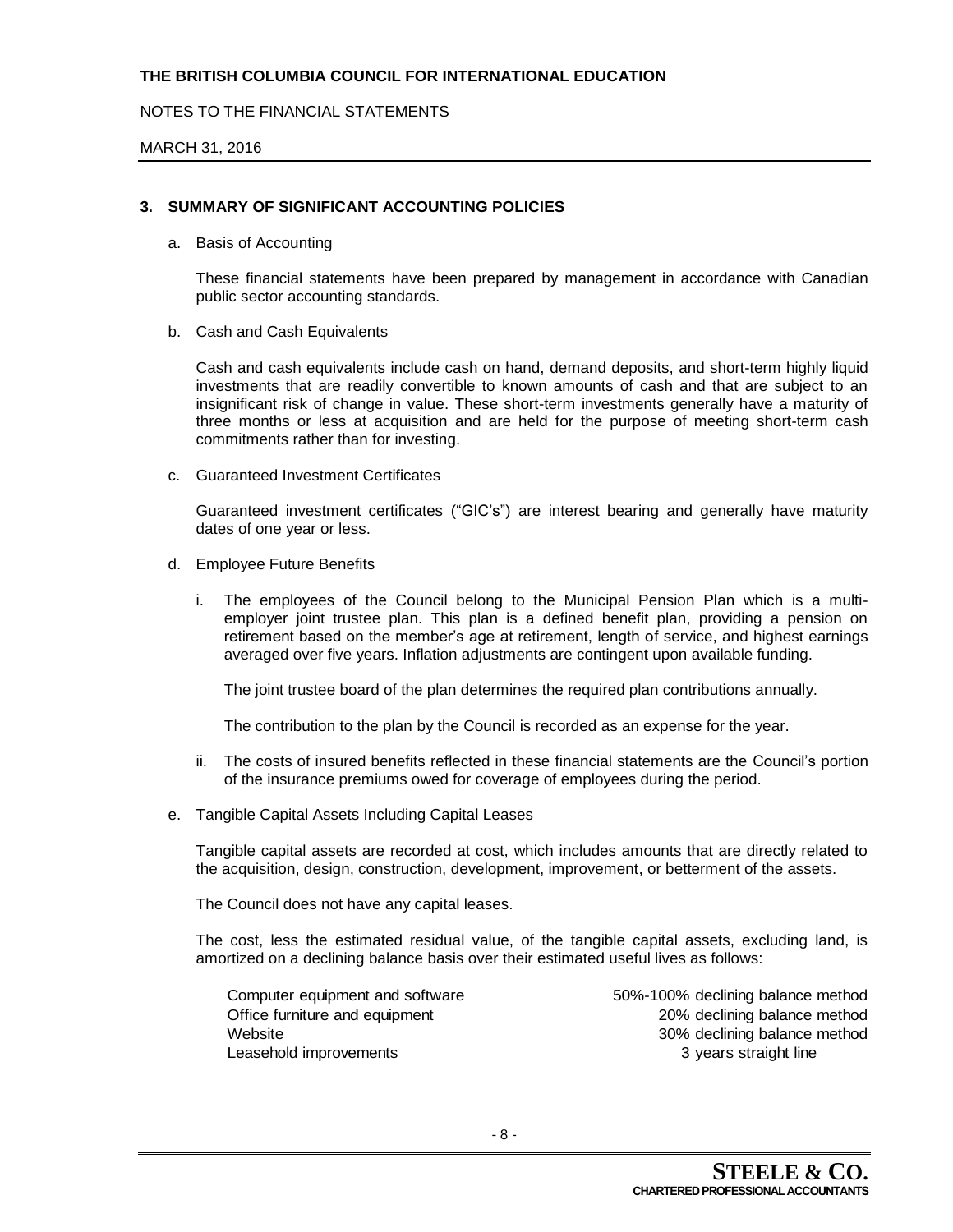## NOTES TO THE FINANCIAL STATEMENTS

#### MARCH 31, 2016

## **3. SUMMARY OF SIGNIFICANT ACCOUNTING POLICIES**

a. Basis of Accounting

These financial statements have been prepared by management in accordance with Canadian public sector accounting standards.

b. Cash and Cash Equivalents

Cash and cash equivalents include cash on hand, demand deposits, and short-term highly liquid investments that are readily convertible to known amounts of cash and that are subject to an insignificant risk of change in value. These short-term investments generally have a maturity of three months or less at acquisition and are held for the purpose of meeting short-term cash commitments rather than for investing.

c. Guaranteed Investment Certificates

Guaranteed investment certificates ("GIC's") are interest bearing and generally have maturity dates of one year or less.

- d. Employee Future Benefits
	- i. The employees of the Council belong to the Municipal Pension Plan which is a multiemployer joint trustee plan. This plan is a defined benefit plan, providing a pension on retirement based on the member's age at retirement, length of service, and highest earnings averaged over five years. Inflation adjustments are contingent upon available funding.

The joint trustee board of the plan determines the required plan contributions annually.

The contribution to the plan by the Council is recorded as an expense for the year.

- ii. The costs of insured benefits reflected in these financial statements are the Council's portion of the insurance premiums owed for coverage of employees during the period.
- e. Tangible Capital Assets Including Capital Leases

Tangible capital assets are recorded at cost, which includes amounts that are directly related to the acquisition, design, construction, development, improvement, or betterment of the assets.

The Council does not have any capital leases.

The cost, less the estimated residual value, of the tangible capital assets, excluding land, is amortized on a declining balance basis over their estimated useful lives as follows:

Leasehold improvements **3** years straight line

Computer equipment and software 50%-100% declining balance method Office furniture and equipment 20% declining balance method Website 30% declining balance method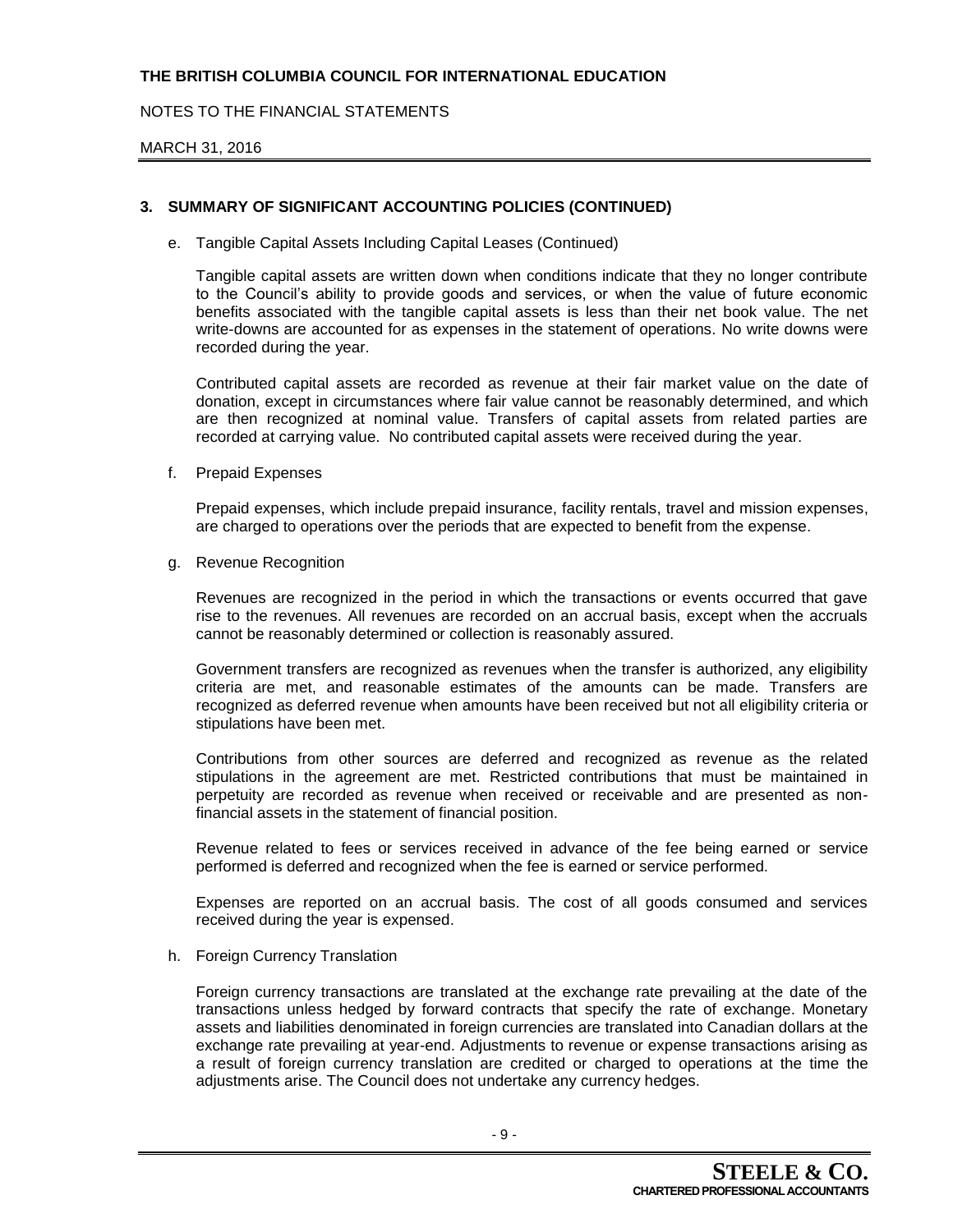NOTES TO THE FINANCIAL STATEMENTS

#### MARCH 31, 2016

## **3. SUMMARY OF SIGNIFICANT ACCOUNTING POLICIES (CONTINUED)**

e. Tangible Capital Assets Including Capital Leases (Continued)

Tangible capital assets are written down when conditions indicate that they no longer contribute to the Council's ability to provide goods and services, or when the value of future economic benefits associated with the tangible capital assets is less than their net book value. The net write-downs are accounted for as expenses in the statement of operations. No write downs were recorded during the year.

Contributed capital assets are recorded as revenue at their fair market value on the date of donation, except in circumstances where fair value cannot be reasonably determined, and which are then recognized at nominal value. Transfers of capital assets from related parties are recorded at carrying value. No contributed capital assets were received during the year.

f. Prepaid Expenses

Prepaid expenses, which include prepaid insurance, facility rentals, travel and mission expenses, are charged to operations over the periods that are expected to benefit from the expense.

g. Revenue Recognition

Revenues are recognized in the period in which the transactions or events occurred that gave rise to the revenues. All revenues are recorded on an accrual basis, except when the accruals cannot be reasonably determined or collection is reasonably assured.

Government transfers are recognized as revenues when the transfer is authorized, any eligibility criteria are met, and reasonable estimates of the amounts can be made. Transfers are recognized as deferred revenue when amounts have been received but not all eligibility criteria or stipulations have been met.

Contributions from other sources are deferred and recognized as revenue as the related stipulations in the agreement are met. Restricted contributions that must be maintained in perpetuity are recorded as revenue when received or receivable and are presented as nonfinancial assets in the statement of financial position.

Revenue related to fees or services received in advance of the fee being earned or service performed is deferred and recognized when the fee is earned or service performed.

Expenses are reported on an accrual basis. The cost of all goods consumed and services received during the year is expensed.

h. Foreign Currency Translation

Foreign currency transactions are translated at the exchange rate prevailing at the date of the transactions unless hedged by forward contracts that specify the rate of exchange. Monetary assets and liabilities denominated in foreign currencies are translated into Canadian dollars at the exchange rate prevailing at year-end. Adjustments to revenue or expense transactions arising as a result of foreign currency translation are credited or charged to operations at the time the adjustments arise. The Council does not undertake any currency hedges.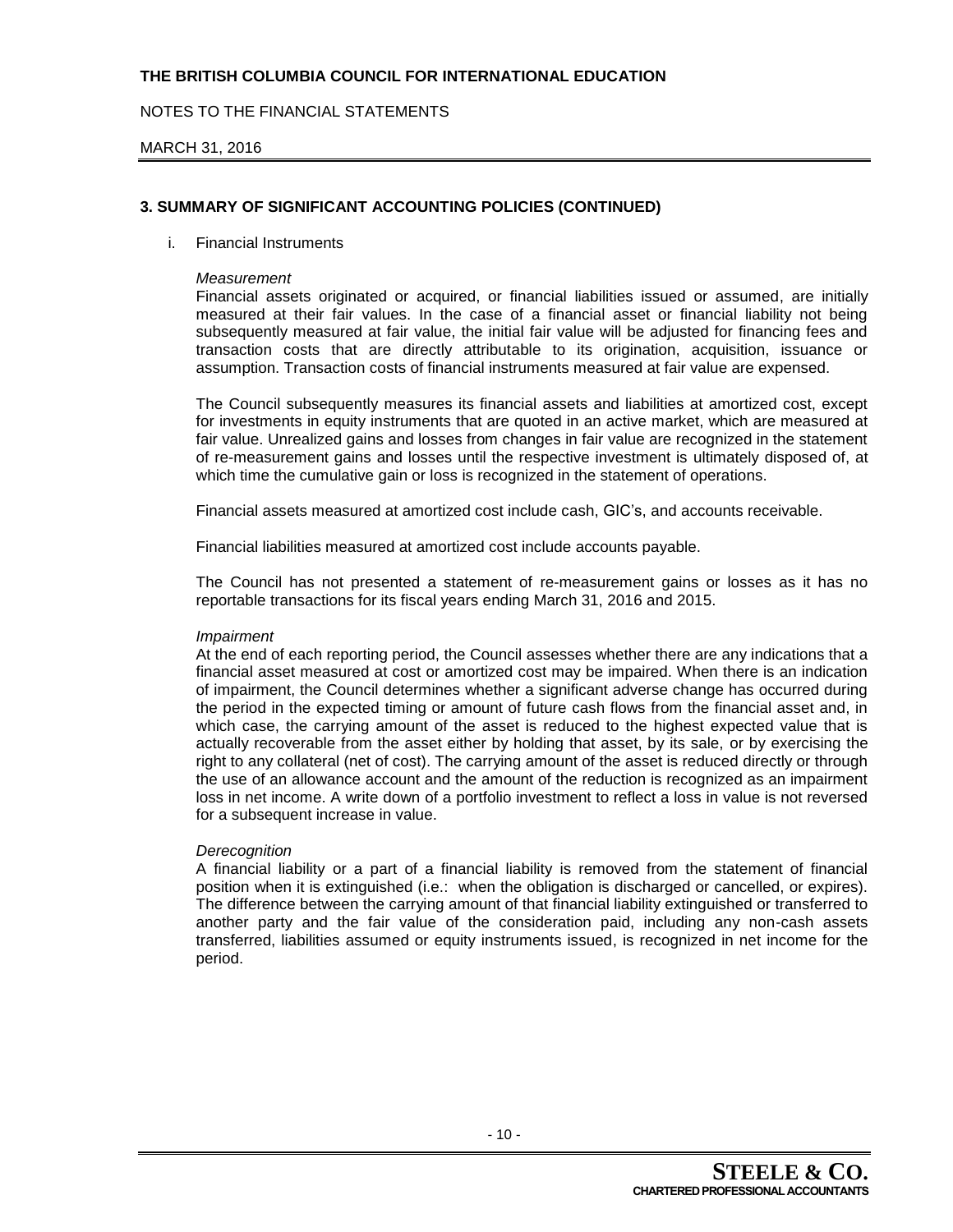## NOTES TO THE FINANCIAL STATEMENTS

#### MARCH 31, 2016

## **3. SUMMARY OF SIGNIFICANT ACCOUNTING POLICIES (CONTINUED)**

#### i. Financial Instruments

#### *Measurement*

Financial assets originated or acquired, or financial liabilities issued or assumed, are initially measured at their fair values. In the case of a financial asset or financial liability not being subsequently measured at fair value, the initial fair value will be adjusted for financing fees and transaction costs that are directly attributable to its origination, acquisition, issuance or assumption. Transaction costs of financial instruments measured at fair value are expensed.

The Council subsequently measures its financial assets and liabilities at amortized cost, except for investments in equity instruments that are quoted in an active market, which are measured at fair value. Unrealized gains and losses from changes in fair value are recognized in the statement of re-measurement gains and losses until the respective investment is ultimately disposed of, at which time the cumulative gain or loss is recognized in the statement of operations.

Financial assets measured at amortized cost include cash, GIC's, and accounts receivable.

Financial liabilities measured at amortized cost include accounts payable.

The Council has not presented a statement of re-measurement gains or losses as it has no reportable transactions for its fiscal years ending March 31, 2016 and 2015.

#### *Impairment*

At the end of each reporting period, the Council assesses whether there are any indications that a financial asset measured at cost or amortized cost may be impaired. When there is an indication of impairment, the Council determines whether a significant adverse change has occurred during the period in the expected timing or amount of future cash flows from the financial asset and, in which case, the carrying amount of the asset is reduced to the highest expected value that is actually recoverable from the asset either by holding that asset, by its sale, or by exercising the right to any collateral (net of cost). The carrying amount of the asset is reduced directly or through the use of an allowance account and the amount of the reduction is recognized as an impairment loss in net income. A write down of a portfolio investment to reflect a loss in value is not reversed for a subsequent increase in value.

#### *Derecognition*

A financial liability or a part of a financial liability is removed from the statement of financial position when it is extinguished (i.e.: when the obligation is discharged or cancelled, or expires). The difference between the carrying amount of that financial liability extinguished or transferred to another party and the fair value of the consideration paid, including any non-cash assets transferred, liabilities assumed or equity instruments issued, is recognized in net income for the period.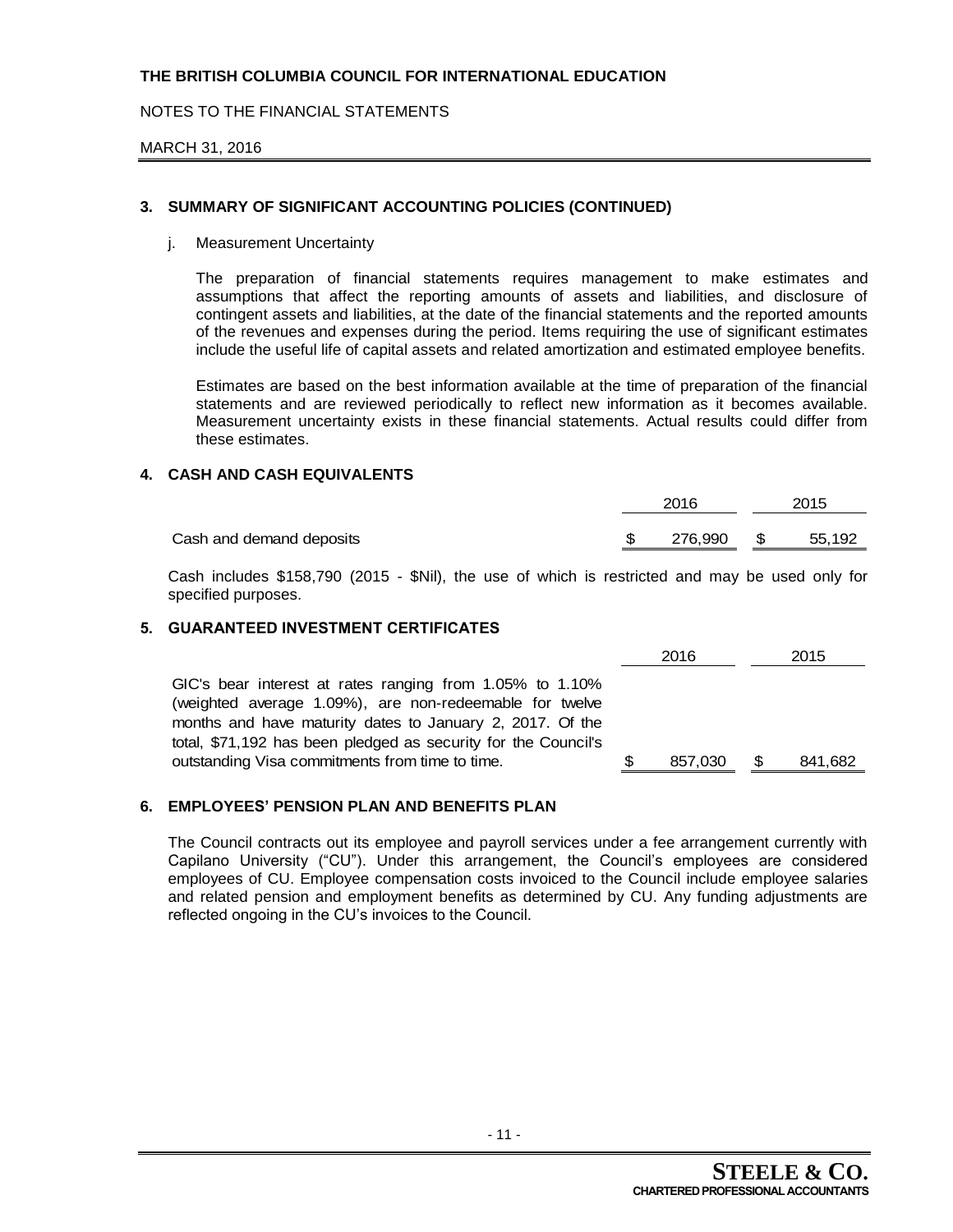NOTES TO THE FINANCIAL STATEMENTS

#### MARCH 31, 2016

## **3. SUMMARY OF SIGNIFICANT ACCOUNTING POLICIES (CONTINUED)**

j. Measurement Uncertainty

The preparation of financial statements requires management to make estimates and assumptions that affect the reporting amounts of assets and liabilities, and disclosure of contingent assets and liabilities, at the date of the financial statements and the reported amounts of the revenues and expenses during the period. Items requiring the use of significant estimates include the useful life of capital assets and related amortization and estimated employee benefits.

Estimates are based on the best information available at the time of preparation of the financial statements and are reviewed periodically to reflect new information as it becomes available. Measurement uncertainty exists in these financial statements. Actual results could differ from these estimates.

## **4. CASH AND CASH EQUIVALENTS**

|                          | 2016              | 2015 |  |  |
|--------------------------|-------------------|------|--|--|
| Cash and demand deposits | 276,990 \$ 55,192 |      |  |  |

Cash includes \$158,790 (2015 - \$Nil), the use of which is restricted and may be used only for specified purposes.

## **5. GUARANTEED INVESTMENT CERTIFICATES**

|                                                                                                                                                                                                                                                    | 2016    |   | 2015    |
|----------------------------------------------------------------------------------------------------------------------------------------------------------------------------------------------------------------------------------------------------|---------|---|---------|
| GIC's bear interest at rates ranging from 1.05% to 1.10%<br>(weighted average 1.09%), are non-redeemable for twelve<br>months and have maturity dates to January 2, 2017. Of the<br>total, \$71,192 has been pledged as security for the Council's |         |   |         |
| outstanding Visa commitments from time to time.                                                                                                                                                                                                    | 857,030 | S | 841,682 |

## **6. EMPLOYEES' PENSION PLAN AND BENEFITS PLAN**

The Council contracts out its employee and payroll services under a fee arrangement currently with Capilano University ("CU"). Under this arrangement, the Council's employees are considered employees of CU. Employee compensation costs invoiced to the Council include employee salaries and related pension and employment benefits as determined by CU. Any funding adjustments are reflected ongoing in the CU's invoices to the Council.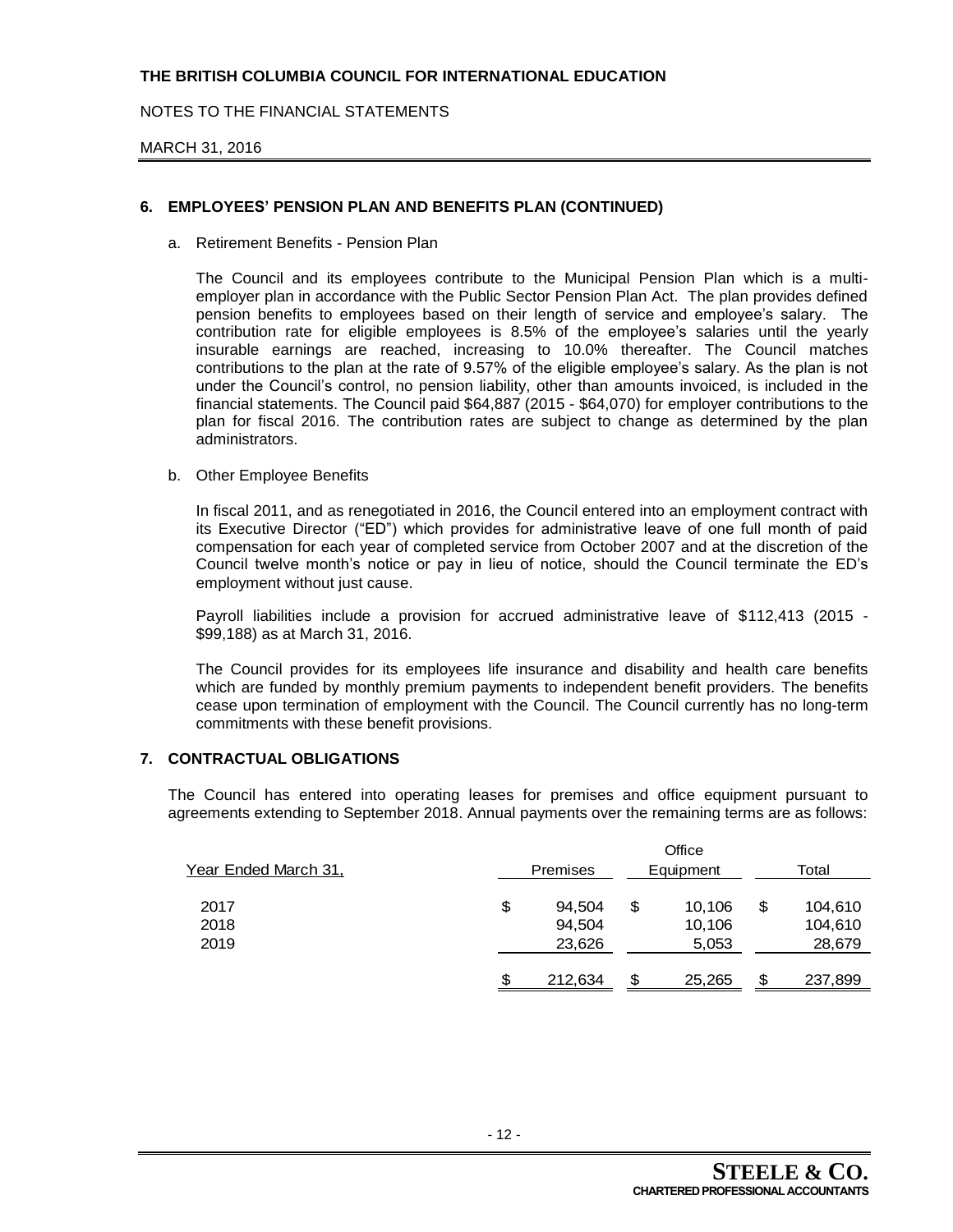NOTES TO THE FINANCIAL STATEMENTS

#### MARCH 31, 2016

## **6. EMPLOYEES' PENSION PLAN AND BENEFITS PLAN (CONTINUED)**

a. Retirement Benefits - Pension Plan

The Council and its employees contribute to the Municipal Pension Plan which is a multiemployer plan in accordance with the Public Sector Pension Plan Act. The plan provides defined pension benefits to employees based on their length of service and employee's salary. The contribution rate for eligible employees is 8.5% of the employee's salaries until the yearly insurable earnings are reached, increasing to 10.0% thereafter. The Council matches contributions to the plan at the rate of 9.57% of the eligible employee's salary. As the plan is not under the Council's control, no pension liability, other than amounts invoiced, is included in the financial statements. The Council paid \$64,887 (2015 - \$64,070) for employer contributions to the plan for fiscal 2016. The contribution rates are subject to change as determined by the plan administrators.

## b. Other Employee Benefits

In fiscal 2011, and as renegotiated in 2016, the Council entered into an employment contract with its Executive Director ("ED") which provides for administrative leave of one full month of paid compensation for each year of completed service from October 2007 and at the discretion of the Council twelve month's notice or pay in lieu of notice, should the Council terminate the ED's employment without just cause.

Payroll liabilities include a provision for accrued administrative leave of \$112,413 (2015 - \$99,188) as at March 31, 2016.

The Council provides for its employees life insurance and disability and health care benefits which are funded by monthly premium payments to independent benefit providers. The benefits cease upon termination of employment with the Council. The Council currently has no long-term commitments with these benefit provisions.

## **7. CONTRACTUAL OBLIGATIONS**

The Council has entered into operating leases for premises and office equipment pursuant to agreements extending to September 2018. Annual payments over the remaining terms are as follows:

|                      |    | UIIICE   |    |           |       |         |  |  |  |
|----------------------|----|----------|----|-----------|-------|---------|--|--|--|
| Year Ended March 31, |    | Premises |    | Equipment | Total |         |  |  |  |
| 2017                 | \$ | 94.504   | S  | 10,106    | \$    | 104,610 |  |  |  |
| 2018                 |    | 94,504   |    | 10,106    |       | 104,610 |  |  |  |
| 2019                 |    | 23,626   |    | 5,053     |       | 28,679  |  |  |  |
|                      | \$ |          |    |           |       |         |  |  |  |
|                      |    | 212,634  | \$ | 25,265    | \$.   | 237,899 |  |  |  |

 $\alpha$ *ffice*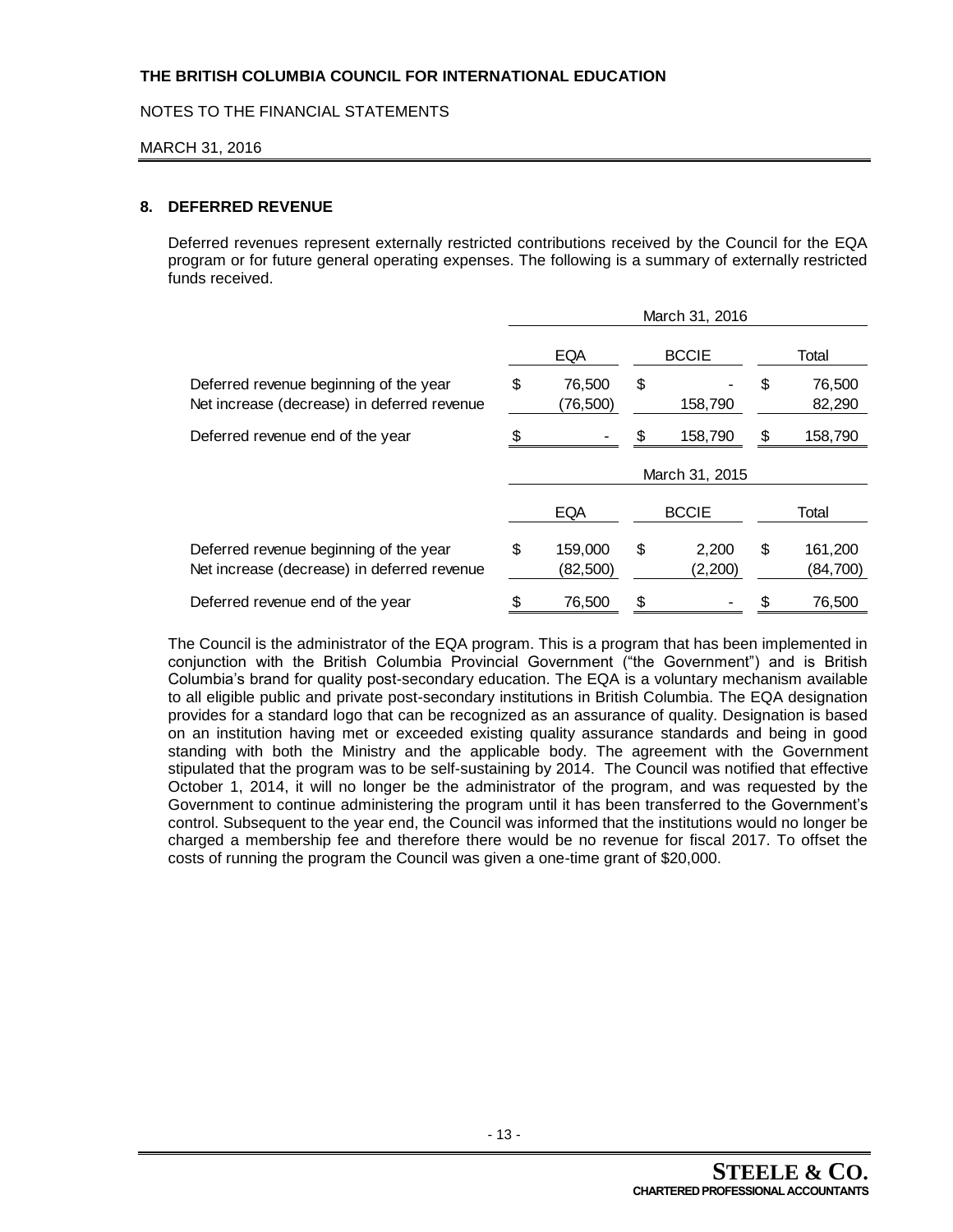NOTES TO THE FINANCIAL STATEMENTS

#### MARCH 31, 2016

## **8. DEFERRED REVENUE**

Deferred revenues represent externally restricted contributions received by the Council for the EQA program or for future general operating expenses. The following is a summary of externally restricted funds received.

|                                                                                       | March 31, 2016 |                     |    |                  |       |                     |  |  |
|---------------------------------------------------------------------------------------|----------------|---------------------|----|------------------|-------|---------------------|--|--|
|                                                                                       |                | <b>EQA</b>          |    | <b>BCCIE</b>     |       | Total               |  |  |
| Deferred revenue beginning of the year<br>Net increase (decrease) in deferred revenue | \$             | 76,500<br>(76,500)  | \$ | 158,790          | S     | 76,500<br>82,290    |  |  |
| Deferred revenue end of the year                                                      |                |                     |    | 158,790          | S     | 158,790             |  |  |
|                                                                                       |                | March 31, 2015      |    |                  |       |                     |  |  |
|                                                                                       |                | <b>EQA</b>          |    | <b>BCCIE</b>     | Total |                     |  |  |
| Deferred revenue beginning of the year<br>Net increase (decrease) in deferred revenue | \$             | 159,000<br>(82,500) | \$ | 2,200<br>(2,200) | \$    | 161,200<br>(84,700) |  |  |
| Deferred revenue end of the year                                                      | \$             | 76,500              | S  |                  |       | 76,500              |  |  |

The Council is the administrator of the EQA program. This is a program that has been implemented in conjunction with the British Columbia Provincial Government ("the Government") and is British Columbia's brand for quality post-secondary education. The EQA is a voluntary mechanism available to all eligible public and private post-secondary institutions in British Columbia. The EQA designation provides for a standard logo that can be recognized as an assurance of quality. Designation is based on an institution having met or exceeded existing quality assurance standards and being in good standing with both the Ministry and the applicable body. The agreement with the Government stipulated that the program was to be self-sustaining by 2014. The Council was notified that effective October 1, 2014, it will no longer be the administrator of the program, and was requested by the Government to continue administering the program until it has been transferred to the Government's control. Subsequent to the year end, the Council was informed that the institutions would no longer be charged a membership fee and therefore there would be no revenue for fiscal 2017. To offset the costs of running the program the Council was given a one-time grant of \$20,000.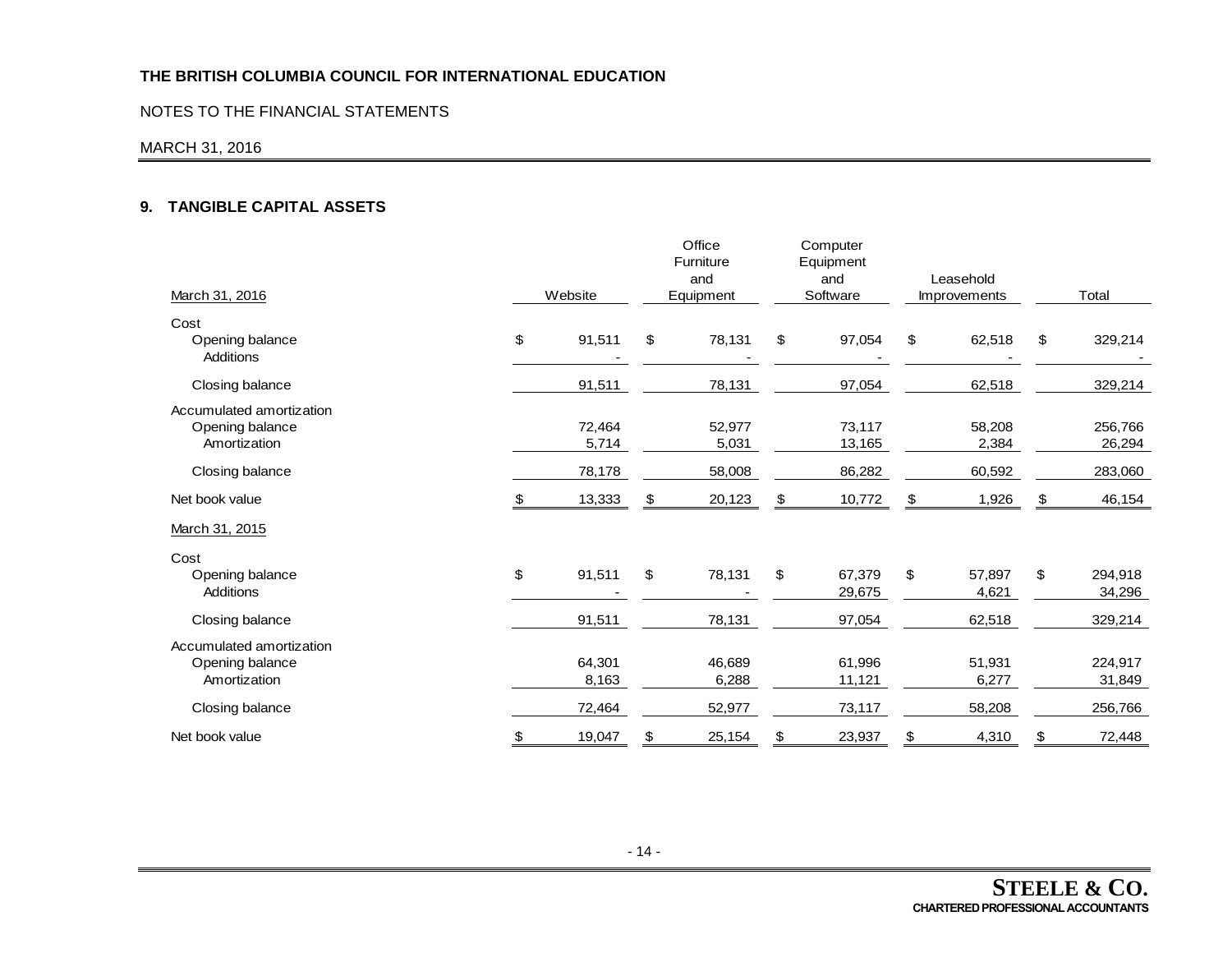## NOTES TO THE FINANCIAL STATEMENTS

#### MARCH 31, 2016

## **9. TANGIBLE CAPITAL ASSETS**

| March 31, 2016                      |     | Website |     | Office<br>Furniture<br>and<br>Equipment | Computer<br>Equipment<br>and<br>Software |        | Leasehold<br><b>Improvements</b> |        | Total |         |
|-------------------------------------|-----|---------|-----|-----------------------------------------|------------------------------------------|--------|----------------------------------|--------|-------|---------|
| Cost                                |     |         |     |                                         |                                          |        |                                  |        |       |         |
| Opening balance<br><b>Additions</b> | \$  | 91,511  | \$  | 78,131                                  | \$                                       | 97,054 | \$                               | 62,518 | \$    | 329,214 |
| Closing balance                     |     | 91,511  |     | 78,131                                  |                                          | 97,054 |                                  | 62,518 |       | 329,214 |
| Accumulated amortization            |     |         |     |                                         |                                          |        |                                  |        |       |         |
| Opening balance                     |     | 72,464  |     | 52,977                                  |                                          | 73,117 |                                  | 58,208 |       | 256,766 |
| Amortization                        |     | 5,714   |     | 5,031                                   |                                          | 13,165 |                                  | 2,384  |       | 26,294  |
| Closing balance                     |     | 78,178  |     | 58,008                                  |                                          | 86,282 |                                  | 60,592 |       | 283,060 |
| Net book value                      | \$. | 13,333  | \$. | 20,123                                  | S                                        | 10,772 | \$                               | 1,926  | \$    | 46,154  |
| March 31, 2015                      |     |         |     |                                         |                                          |        |                                  |        |       |         |
| Cost                                |     |         |     |                                         |                                          |        |                                  |        |       |         |
| Opening balance                     | \$  | 91,511  | \$  | 78,131                                  | \$                                       | 67,379 | \$                               | 57,897 | \$    | 294,918 |
| Additions                           |     |         |     |                                         |                                          | 29,675 |                                  | 4,621  |       | 34,296  |
| Closing balance                     |     | 91,511  |     | 78,131                                  |                                          | 97,054 |                                  | 62,518 |       | 329,214 |
| Accumulated amortization            |     |         |     |                                         |                                          |        |                                  |        |       |         |
| Opening balance                     |     | 64,301  |     | 46,689                                  |                                          | 61,996 |                                  | 51,931 |       | 224,917 |
| Amortization                        |     | 8,163   |     | 6,288                                   |                                          | 11,121 |                                  | 6,277  |       | 31,849  |
| Closing balance                     |     | 72,464  |     | 52,977                                  |                                          | 73,117 |                                  | 58,208 |       | 256,766 |
| Net book value                      | \$  | 19,047  | \$  | 25,154                                  | \$                                       | 23,937 | \$                               | 4,310  | \$    | 72,448  |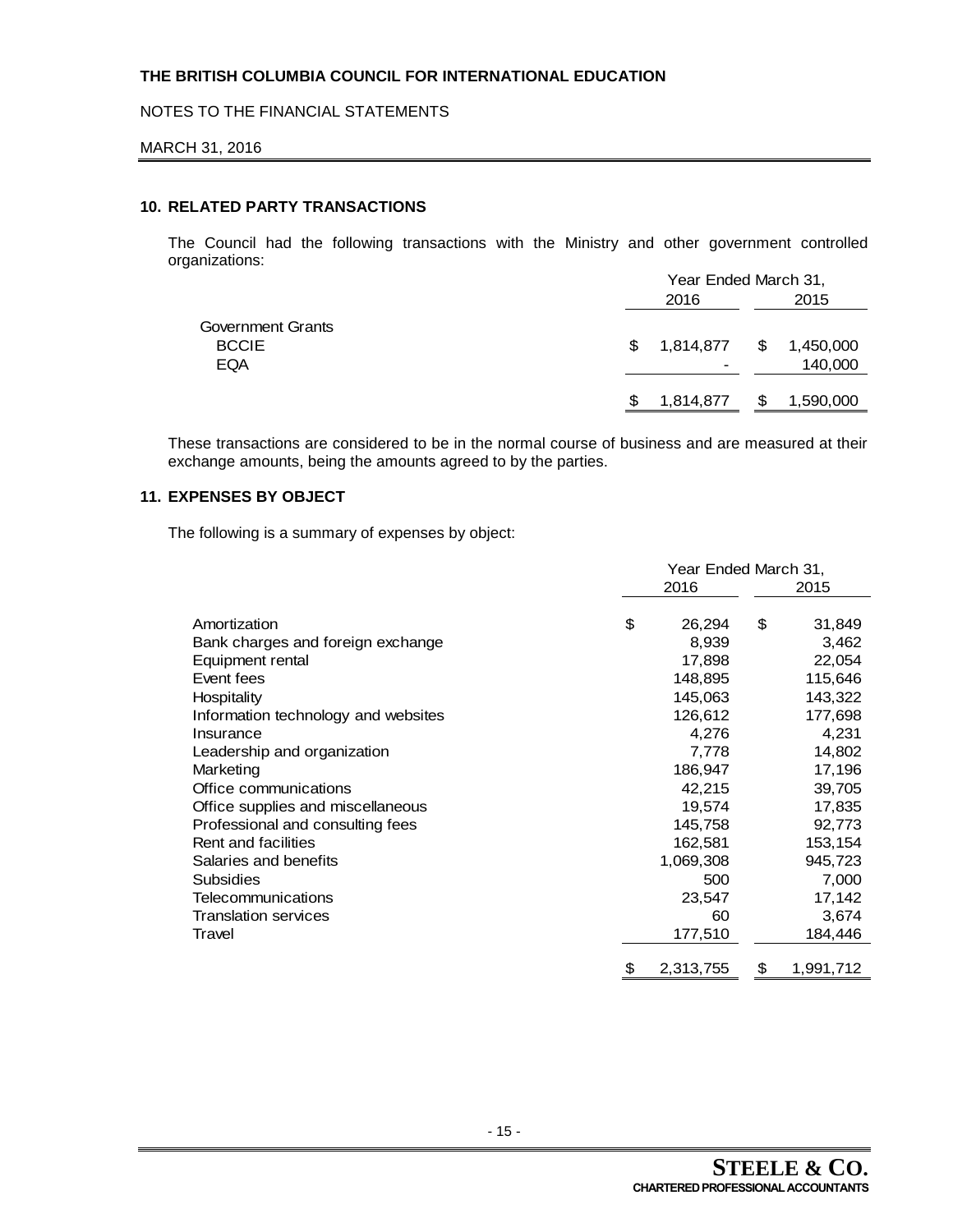NOTES TO THE FINANCIAL STATEMENTS

#### MARCH 31, 2016

## **10. RELATED PARTY TRANSACTIONS**

The Council had the following transactions with the Ministry and other government controlled organizations:

|                                                        |     | Year Ended March 31, |      |                        |  |  |  |
|--------------------------------------------------------|-----|----------------------|------|------------------------|--|--|--|
|                                                        |     | 2016                 | 2015 |                        |  |  |  |
| <b>Government Grants</b><br><b>BCCIE</b><br><b>EQA</b> | \$. | 1,814,877<br>-       |      | \$1,450,000<br>140,000 |  |  |  |
|                                                        |     | 1,814,877            | S.   | 1,590,000              |  |  |  |
|                                                        |     |                      |      |                        |  |  |  |

These transactions are considered to be in the normal course of business and are measured at their exchange amounts, being the amounts agreed to by the parties.

## **11. EXPENSES BY OBJECT**

The following is a summary of expenses by object:

|                                     | Year Ended March 31, |           |    |           |  |
|-------------------------------------|----------------------|-----------|----|-----------|--|
|                                     |                      | 2016      |    | 2015      |  |
| Amortization                        | \$                   | 26,294    | \$ | 31,849    |  |
| Bank charges and foreign exchange   |                      | 8,939     |    | 3,462     |  |
| Equipment rental                    |                      | 17,898    |    | 22,054    |  |
| Event fees                          |                      | 148,895   |    | 115,646   |  |
| Hospitality                         |                      | 145,063   |    | 143,322   |  |
| Information technology and websites |                      | 126,612   |    | 177,698   |  |
| Insurance                           |                      | 4,276     |    | 4,231     |  |
| Leadership and organization         |                      | 7,778     |    | 14,802    |  |
| Marketing                           |                      | 186,947   |    | 17,196    |  |
| Office communications               |                      | 42,215    |    | 39,705    |  |
| Office supplies and miscellaneous   |                      | 19,574    |    | 17,835    |  |
| Professional and consulting fees    |                      | 145,758   |    | 92,773    |  |
| Rent and facilities                 |                      | 162,581   |    | 153,154   |  |
| Salaries and benefits               |                      | 1,069,308 |    | 945,723   |  |
| <b>Subsidies</b>                    |                      | 500       |    | 7,000     |  |
| Telecommunications                  |                      | 23,547    |    | 17,142    |  |
| <b>Translation services</b>         |                      | 60        |    | 3,674     |  |
| Travel                              |                      | 177,510   |    | 184,446   |  |
|                                     | \$                   | 2,313,755 | \$ | 1,991,712 |  |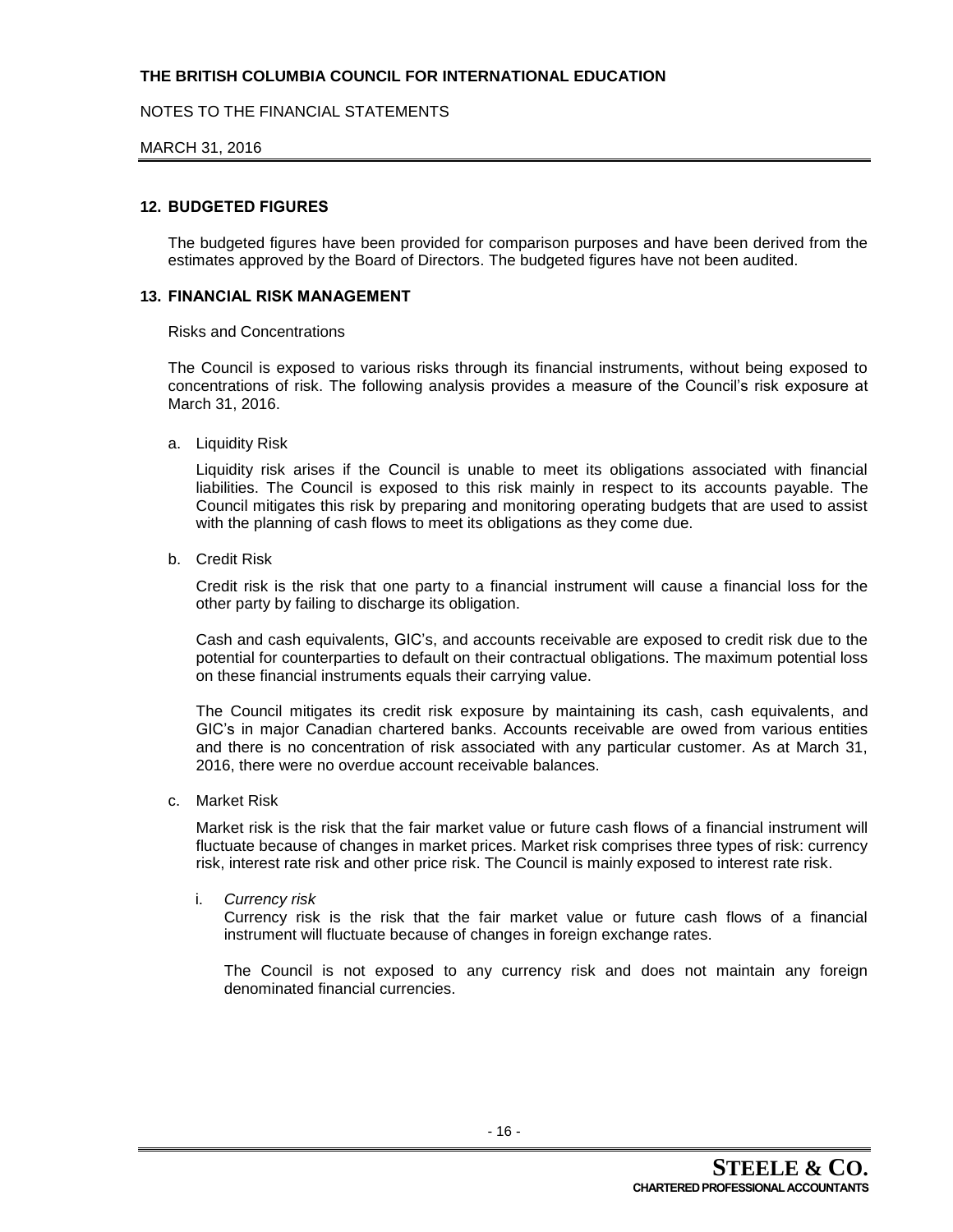## NOTES TO THE FINANCIAL STATEMENTS

#### MARCH 31, 2016

#### **12. BUDGETED FIGURES**

The budgeted figures have been provided for comparison purposes and have been derived from the estimates approved by the Board of Directors. The budgeted figures have not been audited.

#### **13. FINANCIAL RISK MANAGEMENT**

#### Risks and Concentrations

The Council is exposed to various risks through its financial instruments, without being exposed to concentrations of risk. The following analysis provides a measure of the Council's risk exposure at March 31, 2016.

a. Liquidity Risk

Liquidity risk arises if the Council is unable to meet its obligations associated with financial liabilities. The Council is exposed to this risk mainly in respect to its accounts payable. The Council mitigates this risk by preparing and monitoring operating budgets that are used to assist with the planning of cash flows to meet its obligations as they come due.

b. Credit Risk

Credit risk is the risk that one party to a financial instrument will cause a financial loss for the other party by failing to discharge its obligation.

Cash and cash equivalents, GIC's, and accounts receivable are exposed to credit risk due to the potential for counterparties to default on their contractual obligations. The maximum potential loss on these financial instruments equals their carrying value.

The Council mitigates its credit risk exposure by maintaining its cash, cash equivalents, and GIC's in major Canadian chartered banks. Accounts receivable are owed from various entities and there is no concentration of risk associated with any particular customer. As at March 31, 2016, there were no overdue account receivable balances.

c. Market Risk

Market risk is the risk that the fair market value or future cash flows of a financial instrument will fluctuate because of changes in market prices. Market risk comprises three types of risk: currency risk, interest rate risk and other price risk. The Council is mainly exposed to interest rate risk.

i. *Currency risk*

Currency risk is the risk that the fair market value or future cash flows of a financial instrument will fluctuate because of changes in foreign exchange rates.

The Council is not exposed to any currency risk and does not maintain any foreign denominated financial currencies.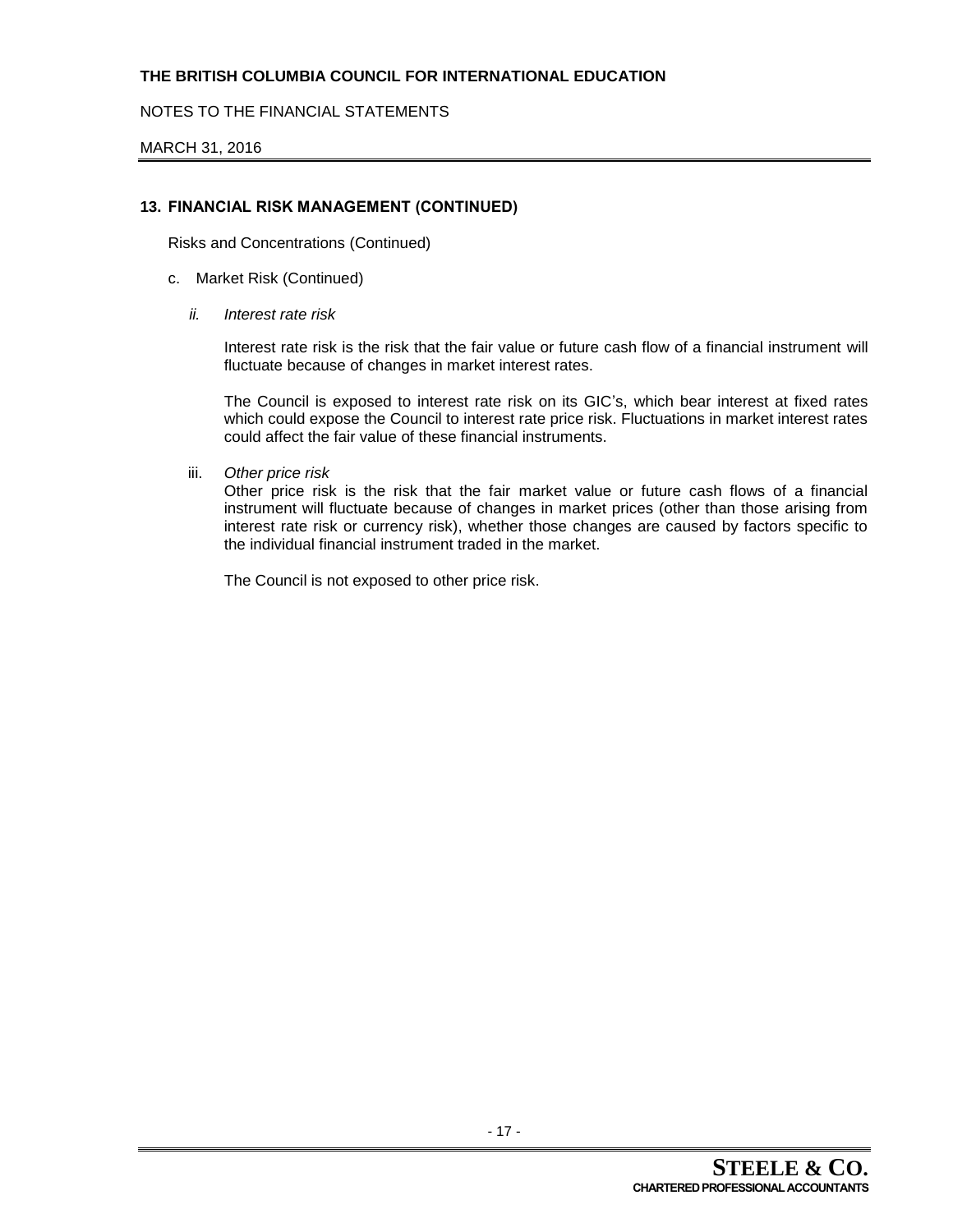NOTES TO THE FINANCIAL STATEMENTS

MARCH 31, 2016

## **13. FINANCIAL RISK MANAGEMENT (CONTINUED)**

Risks and Concentrations (Continued)

## c. Market Risk (Continued)

*ii. Interest rate risk*

Interest rate risk is the risk that the fair value or future cash flow of a financial instrument will fluctuate because of changes in market interest rates.

The Council is exposed to interest rate risk on its GIC's, which bear interest at fixed rates which could expose the Council to interest rate price risk. Fluctuations in market interest rates could affect the fair value of these financial instruments.

iii. *Other price risk*

Other price risk is the risk that the fair market value or future cash flows of a financial instrument will fluctuate because of changes in market prices (other than those arising from interest rate risk or currency risk), whether those changes are caused by factors specific to the individual financial instrument traded in the market.

The Council is not exposed to other price risk.